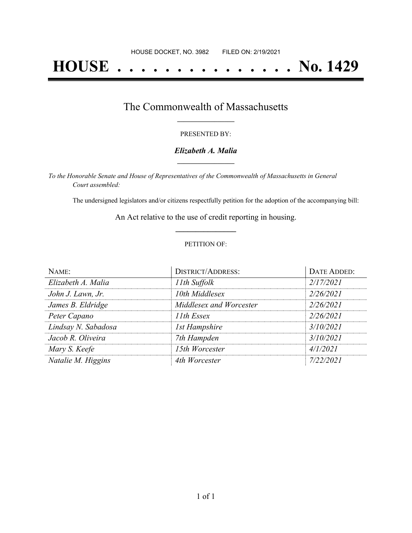# **HOUSE . . . . . . . . . . . . . . . No. 1429**

### The Commonwealth of Massachusetts **\_\_\_\_\_\_\_\_\_\_\_\_\_\_\_\_\_**

#### PRESENTED BY:

#### *Elizabeth A. Malia* **\_\_\_\_\_\_\_\_\_\_\_\_\_\_\_\_\_**

*To the Honorable Senate and House of Representatives of the Commonwealth of Massachusetts in General Court assembled:*

The undersigned legislators and/or citizens respectfully petition for the adoption of the accompanying bill:

An Act relative to the use of credit reporting in housing. **\_\_\_\_\_\_\_\_\_\_\_\_\_\_\_**

#### PETITION OF:

| NAME:               | <b>DISTRICT/ADDRESS:</b> | <b>DATE ADDED:</b> |
|---------------------|--------------------------|--------------------|
| Elizabeth A. Malia  | 11th Suffolk             | 2/17/2021          |
| John J. Lawn, Jr.   | 10th Middlesex           | 2/26/2021          |
| James B. Eldridge   | Middlesex and Worcester  | 2/26/2021          |
| Peter Capano        | 11th Essex               | 2/26/2021          |
| Lindsay N. Sabadosa | <b>1st Hampshire</b>     | 3/10/2021          |
| Jacob R. Oliveira   | 7th Hampden              | 3/10/2021          |
| Mary S. Keefe       | 15th Worcester           | 4/1/2021           |
| Natalie M. Higgins  | 4th Worcester            | 7/22/2021          |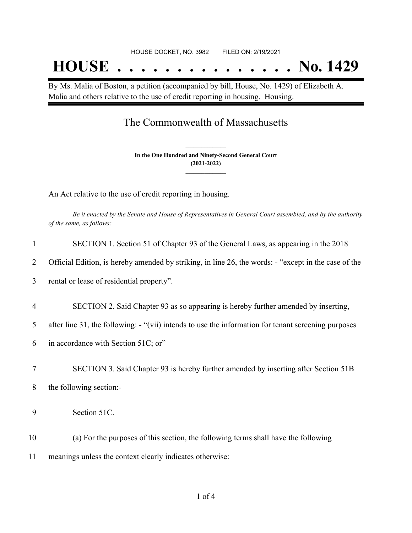By Ms. Malia of Boston, a petition (accompanied by bill, House, No. 1429) of Elizabeth A. Malia and others relative to the use of credit reporting in housing. Housing.

## The Commonwealth of Massachusetts

**In the One Hundred and Ninety-Second General Court (2021-2022) \_\_\_\_\_\_\_\_\_\_\_\_\_\_\_**

**\_\_\_\_\_\_\_\_\_\_\_\_\_\_\_**

An Act relative to the use of credit reporting in housing.

Be it enacted by the Senate and House of Representatives in General Court assembled, and by the authority *of the same, as follows:*

| 1              | SECTION 1. Section 51 of Chapter 93 of the General Laws, as appearing in the 2018                    |
|----------------|------------------------------------------------------------------------------------------------------|
| 2              | Official Edition, is hereby amended by striking, in line 26, the words: - "except in the case of the |
| 3              | rental or lease of residential property".                                                            |
| $\overline{4}$ | SECTION 2. Said Chapter 93 as so appearing is hereby further amended by inserting,                   |
| 5              | after line 31, the following: - "(vii) intends to use the information for tenant screening purposes  |
| 6              | in accordance with Section 51C; or"                                                                  |
| $\tau$         | SECTION 3. Said Chapter 93 is hereby further amended by inserting after Section 51B                  |
| 8              | the following section:-                                                                              |
| 9              | Section 51C.                                                                                         |
| 10             | (a) For the purposes of this section, the following terms shall have the following                   |
| 11             | meanings unless the context clearly indicates otherwise:                                             |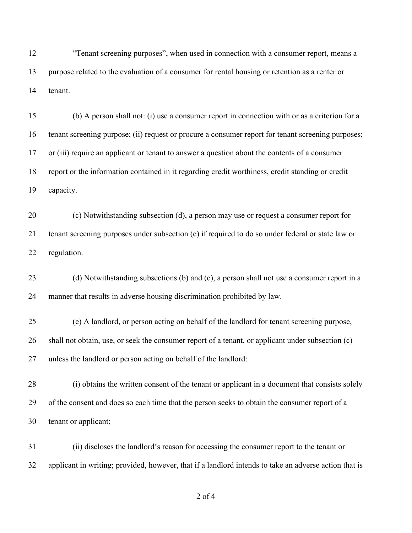"Tenant screening purposes", when used in connection with a consumer report, means a purpose related to the evaluation of a consumer for rental housing or retention as a renter or tenant.

 (b) A person shall not: (i) use a consumer report in connection with or as a criterion for a tenant screening purpose; (ii) request or procure a consumer report for tenant screening purposes; or (iii) require an applicant or tenant to answer a question about the contents of a consumer report or the information contained in it regarding credit worthiness, credit standing or credit capacity.

 (c) Notwithstanding subsection (d), a person may use or request a consumer report for tenant screening purposes under subsection (e) if required to do so under federal or state law or regulation.

 (d) Notwithstanding subsections (b) and (c), a person shall not use a consumer report in a manner that results in adverse housing discrimination prohibited by law.

 (e) A landlord, or person acting on behalf of the landlord for tenant screening purpose, shall not obtain, use, or seek the consumer report of a tenant, or applicant under subsection (c) unless the landlord or person acting on behalf of the landlord:

 (i) obtains the written consent of the tenant or applicant in a document that consists solely of the consent and does so each time that the person seeks to obtain the consumer report of a tenant or applicant;

 (ii) discloses the landlord's reason for accessing the consumer report to the tenant or applicant in writing; provided, however, that if a landlord intends to take an adverse action that is

of 4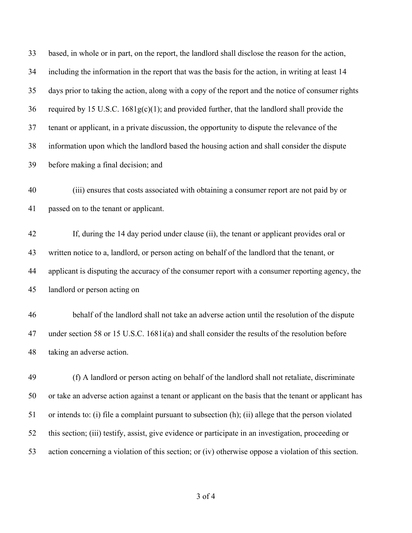based, in whole or in part, on the report, the landlord shall disclose the reason for the action, including the information in the report that was the basis for the action, in writing at least 14 days prior to taking the action, along with a copy of the report and the notice of consumer rights 36 required by 15 U.S.C.  $1681g(c)(1)$ ; and provided further, that the landlord shall provide the tenant or applicant, in a private discussion, the opportunity to dispute the relevance of the information upon which the landlord based the housing action and shall consider the dispute before making a final decision; and (iii) ensures that costs associated with obtaining a consumer report are not paid by or passed on to the tenant or applicant. If, during the 14 day period under clause (ii), the tenant or applicant provides oral or written notice to a, landlord, or person acting on behalf of the landlord that the tenant, or applicant is disputing the accuracy of the consumer report with a consumer reporting agency, the landlord or person acting on behalf of the landlord shall not take an adverse action until the resolution of the dispute under section 58 or 15 U.S.C. 1681i(a) and shall consider the results of the resolution before taking an adverse action. (f) A landlord or person acting on behalf of the landlord shall not retaliate, discriminate or take an adverse action against a tenant or applicant on the basis that the tenant or applicant has or intends to: (i) file a complaint pursuant to subsection (h); (ii) allege that the person violated this section; (iii) testify, assist, give evidence or participate in an investigation, proceeding or action concerning a violation of this section; or (iv) otherwise oppose a violation of this section.

of 4